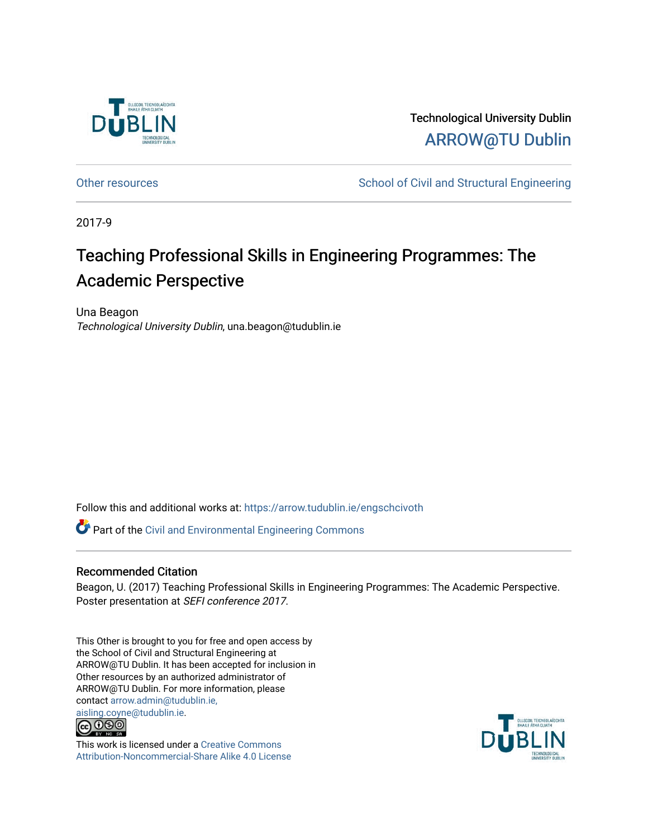

Technological University Dublin [ARROW@TU Dublin](https://arrow.tudublin.ie/) 

[Other resources](https://arrow.tudublin.ie/engschcivoth) School of Civil and Structural Engineering

2017-9

# Teaching Professional Skills in Engineering Programmes: The Academic Perspective

Una Beagon Technological University Dublin, una.beagon@tudublin.ie

Follow this and additional works at: [https://arrow.tudublin.ie/engschcivoth](https://arrow.tudublin.ie/engschcivoth?utm_source=arrow.tudublin.ie%2Fengschcivoth%2F20&utm_medium=PDF&utm_campaign=PDFCoverPages)

Part of the [Civil and Environmental Engineering Commons](http://network.bepress.com/hgg/discipline/251?utm_source=arrow.tudublin.ie%2Fengschcivoth%2F20&utm_medium=PDF&utm_campaign=PDFCoverPages)

## Recommended Citation

Beagon, U. (2017) Teaching Professional Skills in Engineering Programmes: The Academic Perspective. Poster presentation at SEFI conference 2017.

This Other is brought to you for free and open access by the School of Civil and Structural Engineering at ARROW@TU Dublin. It has been accepted for inclusion in Other resources by an authorized administrator of ARROW@TU Dublin. For more information, please contact [arrow.admin@tudublin.ie,](mailto:arrow.admin@tudublin.ie,%20aisling.coyne@tudublin.ie) 



This work is licensed under a [Creative Commons](http://creativecommons.org/licenses/by-nc-sa/4.0/) [Attribution-Noncommercial-Share Alike 4.0 License](http://creativecommons.org/licenses/by-nc-sa/4.0/)